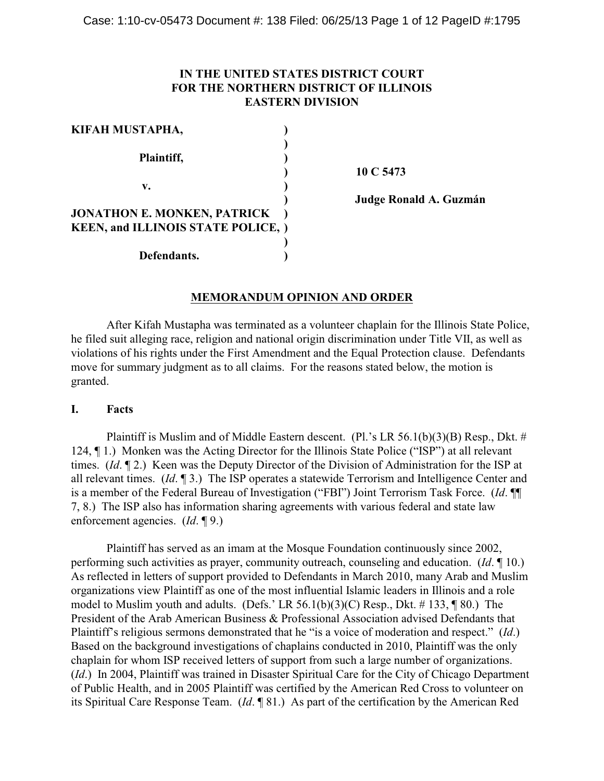# **IN THE UNITED STATES DISTRICT COURT FOR THE NORTHERN DISTRICT OF ILLINOIS EASTERN DIVISION**

| KIFAH MUSTAPHA,                           |  |
|-------------------------------------------|--|
|                                           |  |
| Plaintiff,                                |  |
|                                           |  |
| v.                                        |  |
|                                           |  |
| <b>JONATHON E. MONKEN, PATRICK</b>        |  |
| <b>KEEN, and ILLINOIS STATE POLICE, )</b> |  |
|                                           |  |
| Defendants.                               |  |

**) 10 C 5473**

**) Judge Ronald A. Guzmán**

## **MEMORANDUM OPINION AND ORDER**

After Kifah Mustapha was terminated as a volunteer chaplain for the Illinois State Police, he filed suit alleging race, religion and national origin discrimination under Title VII, as well as violations of his rights under the First Amendment and the Equal Protection clause. Defendants move for summary judgment as to all claims. For the reasons stated below, the motion is granted.

### **I. Facts**

Plaintiff is Muslim and of Middle Eastern descent. (Pl.'s LR 56.1(b)(3)(B) Resp., Dkt. # 124, ¶ 1.) Monken was the Acting Director for the Illinois State Police ("ISP") at all relevant times. (*Id*. ¶ 2.) Keen was the Deputy Director of the Division of Administration for the ISP at all relevant times. (*Id*. ¶ 3.) The ISP operates a statewide Terrorism and Intelligence Center and is a member of the Federal Bureau of Investigation ("FBI") Joint Terrorism Task Force. (*Id*. ¶¶ 7, 8.) The ISP also has information sharing agreements with various federal and state law enforcement agencies. (*Id*. ¶ 9.)

Plaintiff has served as an imam at the Mosque Foundation continuously since 2002, performing such activities as prayer, community outreach, counseling and education. (*Id*. ¶ 10.) As reflected in letters of support provided to Defendants in March 2010, many Arab and Muslim organizations view Plaintiff as one of the most influential Islamic leaders in Illinois and a role model to Muslim youth and adults. (Defs.' LR 56.1(b)(3)(C) Resp., Dkt. # 133, ¶ 80.) The President of the Arab American Business & Professional Association advised Defendants that Plaintiff's religious sermons demonstrated that he "is a voice of moderation and respect." (*Id*.) Based on the background investigations of chaplains conducted in 2010, Plaintiff was the only chaplain for whom ISP received letters of support from such a large number of organizations. (*Id*.) In 2004, Plaintiff was trained in Disaster Spiritual Care for the City of Chicago Department of Public Health, and in 2005 Plaintiff was certified by the American Red Cross to volunteer on its Spiritual Care Response Team. (*Id*. ¶ 81.) As part of the certification by the American Red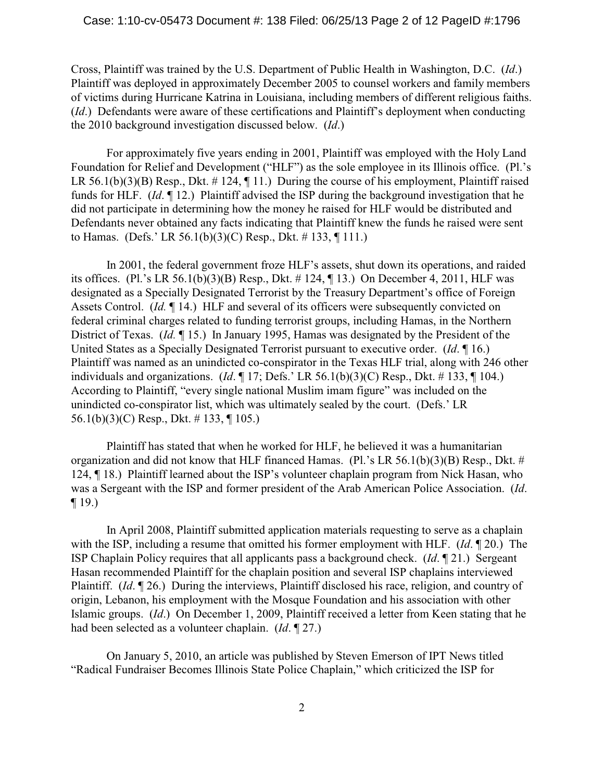Cross, Plaintiff was trained by the U.S. Department of Public Health in Washington, D.C. (*Id*.) Plaintiff was deployed in approximately December 2005 to counsel workers and family members of victims during Hurricane Katrina in Louisiana, including members of different religious faiths. (*Id*.) Defendants were aware of these certifications and Plaintiff's deployment when conducting the 2010 background investigation discussed below. (*Id*.)

For approximately five years ending in 2001, Plaintiff was employed with the Holy Land Foundation for Relief and Development ("HLF") as the sole employee in its Illinois office. (Pl.'s LR 56.1(b)(3)(B) Resp., Dkt.  $\#$  124,  $\P$  11.) During the course of his employment, Plaintiff raised funds for HLF. (*Id*. ¶ 12.) Plaintiff advised the ISP during the background investigation that he did not participate in determining how the money he raised for HLF would be distributed and Defendants never obtained any facts indicating that Plaintiff knew the funds he raised were sent to Hamas. (Defs.' LR 56.1(b)(3)(C) Resp., Dkt. # 133, ¶ 111.)

In 2001, the federal government froze HLF's assets, shut down its operations, and raided its offices. (Pl.'s LR 56.1(b)(3)(B) Resp., Dkt. # 124, ¶ 13.) On December 4, 2011, HLF was designated as a Specially Designated Terrorist by the Treasury Department's office of Foreign Assets Control. (*Id.* ¶ 14.) HLF and several of its officers were subsequently convicted on federal criminal charges related to funding terrorist groups, including Hamas, in the Northern District of Texas. (*Id.* ¶ 15.) In January 1995, Hamas was designated by the President of the United States as a Specially Designated Terrorist pursuant to executive order. (*Id*. ¶ 16.) Plaintiff was named as an unindicted co-conspirator in the Texas HLF trial, along with 246 other individuals and organizations. (*Id*. ¶ 17; Defs.' LR 56.1(b)(3)(C) Resp., Dkt. # 133, ¶ 104.) According to Plaintiff, "every single national Muslim imam figure" was included on the unindicted co-conspirator list, which was ultimately sealed by the court. (Defs.' LR 56.1(b)(3)(C) Resp., Dkt. # 133, ¶ 105.)

Plaintiff has stated that when he worked for HLF, he believed it was a humanitarian organization and did not know that HLF financed Hamas. (Pl.'s LR 56.1(b)(3)(B) Resp., Dkt. # 124, ¶ 18.) Plaintiff learned about the ISP's volunteer chaplain program from Nick Hasan, who was a Sergeant with the ISP and former president of the Arab American Police Association. (*Id*.  $\P$  19.)

In April 2008, Plaintiff submitted application materials requesting to serve as a chaplain with the ISP, including a resume that omitted his former employment with HLF. (*Id*. ¶ 20.) The ISP Chaplain Policy requires that all applicants pass a background check. (*Id*. ¶ 21.) Sergeant Hasan recommended Plaintiff for the chaplain position and several ISP chaplains interviewed Plaintiff. (*Id*. ¶ 26.) During the interviews, Plaintiff disclosed his race, religion, and country of origin, Lebanon, his employment with the Mosque Foundation and his association with other Islamic groups. (*Id*.) On December 1, 2009, Plaintiff received a letter from Keen stating that he had been selected as a volunteer chaplain. (*Id*. ¶ 27.)

On January 5, 2010, an article was published by Steven Emerson of IPT News titled "Radical Fundraiser Becomes Illinois State Police Chaplain," which criticized the ISP for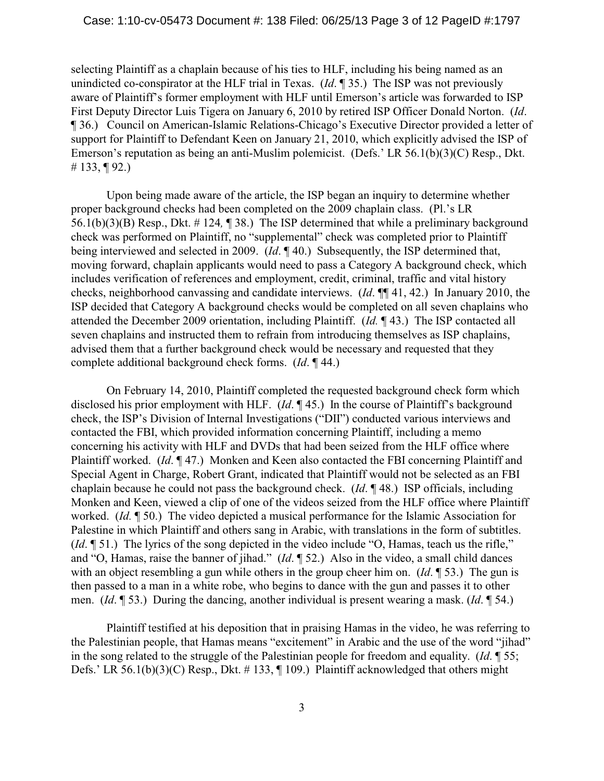selecting Plaintiff as a chaplain because of his ties to HLF, including his being named as an unindicted co-conspirator at the HLF trial in Texas. (*Id*. ¶ 35.) The ISP was not previously aware of Plaintiff's former employment with HLF until Emerson's article was forwarded to ISP First Deputy Director Luis Tigera on January 6, 2010 by retired ISP Officer Donald Norton. (*Id*. ¶ 36.) Council on American-Islamic Relations-Chicago's Executive Director provided a letter of support for Plaintiff to Defendant Keen on January 21, 2010, which explicitly advised the ISP of Emerson's reputation as being an anti-Muslim polemicist. (Defs.' LR 56.1(b)(3)(C) Resp., Dkt. # 133, ¶ 92.)

Upon being made aware of the article, the ISP began an inquiry to determine whether proper background checks had been completed on the 2009 chaplain class. (Pl.'s LR 56.1(b)(3)(B) Resp., Dkt. # 124*,* ¶ 38.) The ISP determined that while a preliminary background check was performed on Plaintiff, no "supplemental" check was completed prior to Plaintiff being interviewed and selected in 2009. (*Id*. ¶ 40.) Subsequently, the ISP determined that, moving forward, chaplain applicants would need to pass a Category A background check, which includes verification of references and employment, credit, criminal, traffic and vital history checks, neighborhood canvassing and candidate interviews. (*Id*. ¶¶ 41, 42.) In January 2010, the ISP decided that Category A background checks would be completed on all seven chaplains who attended the December 2009 orientation, including Plaintiff. (*Id.* ¶ 43.) The ISP contacted all seven chaplains and instructed them to refrain from introducing themselves as ISP chaplains, advised them that a further background check would be necessary and requested that they complete additional background check forms. (*Id*. ¶ 44.)

On February 14, 2010, Plaintiff completed the requested background check form which disclosed his prior employment with HLF. (*Id*. ¶ 45.) In the course of Plaintiff's background check, the ISP's Division of Internal Investigations ("DII") conducted various interviews and contacted the FBI, which provided information concerning Plaintiff, including a memo concerning his activity with HLF and DVDs that had been seized from the HLF office where Plaintiff worked. (*Id*. ¶ 47.) Monken and Keen also contacted the FBI concerning Plaintiff and Special Agent in Charge, Robert Grant, indicated that Plaintiff would not be selected as an FBI chaplain because he could not pass the background check. (*Id*. ¶ 48.) ISP officials, including Monken and Keen, viewed a clip of one of the videos seized from the HLF office where Plaintiff worked. (*Id.* ¶ 50.) The video depicted a musical performance for the Islamic Association for Palestine in which Plaintiff and others sang in Arabic, with translations in the form of subtitles. (*Id*. ¶ 51.) The lyrics of the song depicted in the video include "O, Hamas, teach us the rifle," and "O, Hamas, raise the banner of jihad." (*Id*. ¶ 52.) Also in the video, a small child dances with an object resembling a gun while others in the group cheer him on. (*Id*. ¶ 53.) The gun is then passed to a man in a white robe, who begins to dance with the gun and passes it to other men. (*Id*. ¶ 53.) During the dancing, another individual is present wearing a mask. (*Id*. ¶ 54.)

Plaintiff testified at his deposition that in praising Hamas in the video, he was referring to the Palestinian people, that Hamas means "excitement" in Arabic and the use of the word "jihad" in the song related to the struggle of the Palestinian people for freedom and equality. (*Id*. ¶ 55; Defs.' LR 56.1(b)(3)(C) Resp., Dkt.  $\#$  133,  $\P$  109.) Plaintiff acknowledged that others might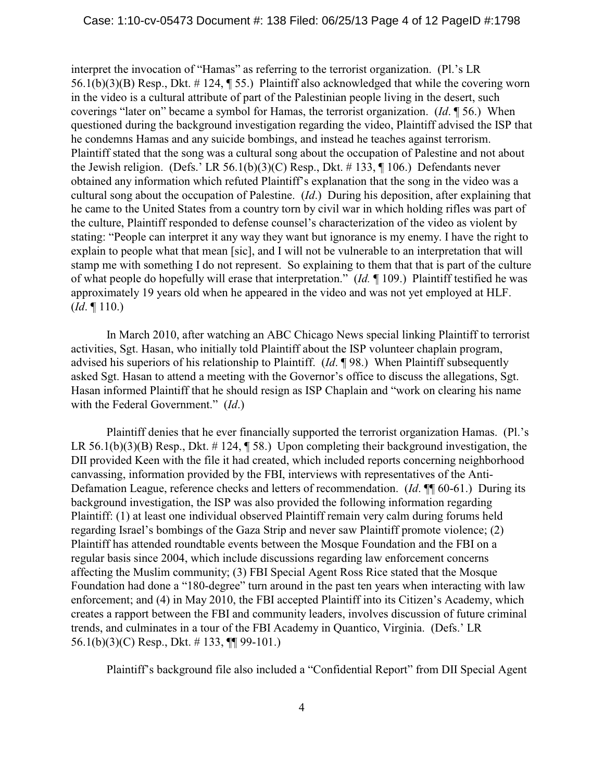interpret the invocation of "Hamas" as referring to the terrorist organization. (Pl.'s LR 56.1(b)(3)(B) Resp., Dkt. # 124, ¶ 55.) Plaintiff also acknowledged that while the covering worn in the video is a cultural attribute of part of the Palestinian people living in the desert, such coverings "later on" became a symbol for Hamas, the terrorist organization. (*Id*. ¶ 56.) When questioned during the background investigation regarding the video, Plaintiff advised the ISP that he condemns Hamas and any suicide bombings, and instead he teaches against terrorism. Plaintiff stated that the song was a cultural song about the occupation of Palestine and not about the Jewish religion. (Defs.' LR 56.1(b)(3)(C) Resp., Dkt. # 133,  $\P$  106.) Defendants never obtained any information which refuted Plaintiff's explanation that the song in the video was a cultural song about the occupation of Palestine. (*Id*.) During his deposition, after explaining that he came to the United States from a country torn by civil war in which holding rifles was part of the culture, Plaintiff responded to defense counsel's characterization of the video as violent by stating: "People can interpret it any way they want but ignorance is my enemy. I have the right to explain to people what that mean [sic], and I will not be vulnerable to an interpretation that will stamp me with something I do not represent. So explaining to them that that is part of the culture of what people do hopefully will erase that interpretation." (*Id.* ¶ 109.) Plaintiff testified he was approximately 19 years old when he appeared in the video and was not yet employed at HLF. (*Id*. ¶ 110.)

In March 2010, after watching an ABC Chicago News special linking Plaintiff to terrorist activities, Sgt. Hasan, who initially told Plaintiff about the ISP volunteer chaplain program, advised his superiors of his relationship to Plaintiff. (*Id*. ¶ 98.) When Plaintiff subsequently asked Sgt. Hasan to attend a meeting with the Governor's office to discuss the allegations, Sgt. Hasan informed Plaintiff that he should resign as ISP Chaplain and "work on clearing his name with the Federal Government." (*Id*.)

Plaintiff denies that he ever financially supported the terrorist organization Hamas. (Pl.'s LR 56.1(b)(3)(B) Resp., Dkt.  $\#$  124,  $\P$  58.) Upon completing their background investigation, the DII provided Keen with the file it had created, which included reports concerning neighborhood canvassing, information provided by the FBI, interviews with representatives of the Anti-Defamation League, reference checks and letters of recommendation. (*Id*. ¶¶ 60-61.) During its background investigation, the ISP was also provided the following information regarding Plaintiff: (1) at least one individual observed Plaintiff remain very calm during forums held regarding Israel's bombings of the Gaza Strip and never saw Plaintiff promote violence; (2) Plaintiff has attended roundtable events between the Mosque Foundation and the FBI on a regular basis since 2004, which include discussions regarding law enforcement concerns affecting the Muslim community; (3) FBI Special Agent Ross Rice stated that the Mosque Foundation had done a "180-degree" turn around in the past ten years when interacting with law enforcement; and (4) in May 2010, the FBI accepted Plaintiff into its Citizen's Academy, which creates a rapport between the FBI and community leaders, involves discussion of future criminal trends, and culminates in a tour of the FBI Academy in Quantico, Virginia. (Defs.' LR 56.1(b)(3)(C) Resp., Dkt. # 133, ¶¶ 99-101.)

Plaintiff's background file also included a "Confidential Report" from DII Special Agent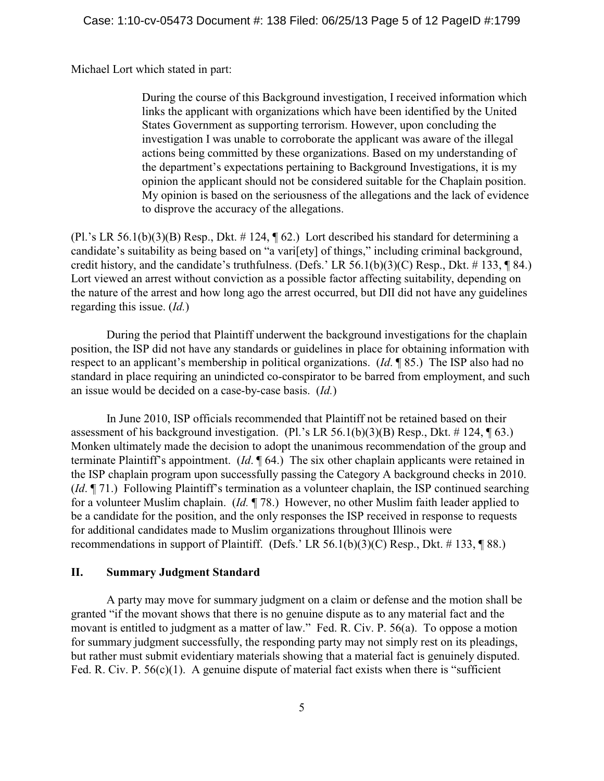Michael Lort which stated in part:

During the course of this Background investigation, I received information which links the applicant with organizations which have been identified by the United States Government as supporting terrorism. However, upon concluding the investigation I was unable to corroborate the applicant was aware of the illegal actions being committed by these organizations. Based on my understanding of the department's expectations pertaining to Background Investigations, it is my opinion the applicant should not be considered suitable for the Chaplain position. My opinion is based on the seriousness of the allegations and the lack of evidence to disprove the accuracy of the allegations.

 $(Pl.^{s}$  LR 56.1(b)(3)(B) Resp., Dkt. #124,  $\P$  62.) Lort described his standard for determining a candidate's suitability as being based on "a vari[ety] of things," including criminal background, credit history, and the candidate's truthfulness. (Defs.' LR 56.1(b)(3)(C) Resp., Dkt.  $\#$  133, ¶ 84.) Lort viewed an arrest without conviction as a possible factor affecting suitability, depending on the nature of the arrest and how long ago the arrest occurred, but DII did not have any guidelines regarding this issue. (*Id.*)

During the period that Plaintiff underwent the background investigations for the chaplain position, the ISP did not have any standards or guidelines in place for obtaining information with respect to an applicant's membership in political organizations. (*Id*. ¶ 85.) The ISP also had no standard in place requiring an unindicted co-conspirator to be barred from employment, and such an issue would be decided on a case-by-case basis. (*Id.*)

In June 2010, ISP officials recommended that Plaintiff not be retained based on their assessment of his background investigation. (Pl.'s LR 56.1(b)(3)(B) Resp., Dkt.  $\#$  124,  $\P$  63.) Monken ultimately made the decision to adopt the unanimous recommendation of the group and terminate Plaintiff's appointment. (*Id*. ¶ 64.) The six other chaplain applicants were retained in the ISP chaplain program upon successfully passing the Category A background checks in 2010. (*Id*. ¶ 71.) Following Plaintiff's termination as a volunteer chaplain, the ISP continued searching for a volunteer Muslim chaplain. (*Id.* ¶ 78.) However, no other Muslim faith leader applied to be a candidate for the position, and the only responses the ISP received in response to requests for additional candidates made to Muslim organizations throughout Illinois were recommendations in support of Plaintiff. (Defs.' LR 56.1(b)(3)(C) Resp., Dkt.  $\#$  133, ¶ 88.)

# **II. Summary Judgment Standard**

A party may move for summary judgment on a claim or defense and the motion shall be granted "if the movant shows that there is no genuine dispute as to any material fact and the movant is entitled to judgment as a matter of law." Fed. R. Civ. P. 56(a). To oppose a motion for summary judgment successfully, the responding party may not simply rest on its pleadings, but rather must submit evidentiary materials showing that a material fact is genuinely disputed. Fed. R. Civ. P.  $56(c)(1)$ . A genuine dispute of material fact exists when there is "sufficient"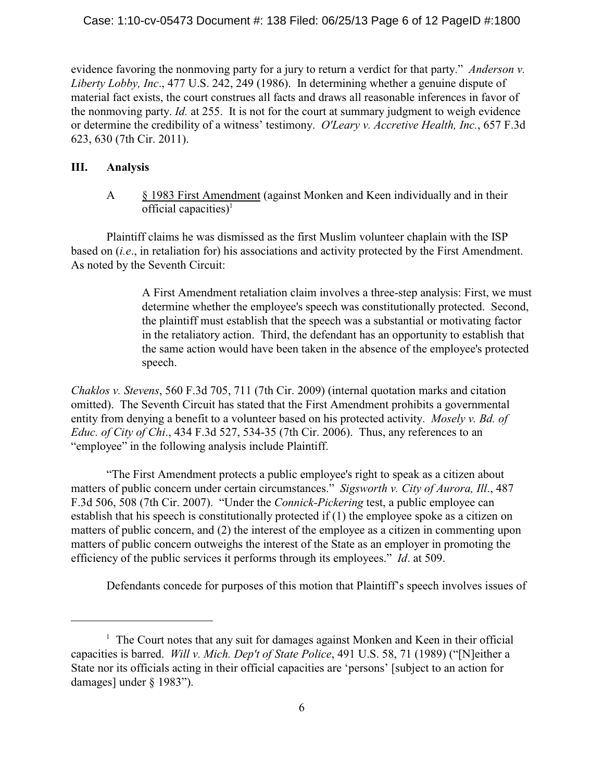#### Case: 1:10-cv-05473 Document #: 138 Filed: 06/25/13 Page 6 of 12 PageID #:1800

evidence favoring the nonmoving party for a jury to return a verdict for that party." *Anderson v. Liberty Lobby, Inc*., 477 U.S. 242, 249 (1986). In determining whether a genuine dispute of material fact exists, the court construes all facts and draws all reasonable inferences in favor of the nonmoving party. *Id.* at 255. It is not for the court at summary judgment to weigh evidence or determine the credibility of a witness' testimony. *O'Leary v. Accretive Health, Inc.*, 657 F.3d 623, 630 (7th Cir. 2011).

### **III. Analysis**

A § 1983 First Amendment (against Monken and Keen individually and in their official capacities)<sup>1</sup>

Plaintiff claims he was dismissed as the first Muslim volunteer chaplain with the ISP based on (*i.e*., in retaliation for) his associations and activity protected by the First Amendment. As noted by the Seventh Circuit:

> A First Amendment retaliation claim involves a three-step analysis: First, we must determine whether the employee's speech was constitutionally protected. Second, the plaintiff must establish that the speech was a substantial or motivating factor in the retaliatory action. Third, the defendant has an opportunity to establish that the same action would have been taken in the absence of the employee's protected speech.

*Chaklos v. Stevens*, 560 F.3d 705, 711 (7th Cir. 2009) (internal quotation marks and citation omitted). The Seventh Circuit has stated that the First Amendment prohibits a governmental entity from denying a benefit to a volunteer based on his protected activity. *Mosely v. Bd. of Educ. of City of Chi*., 434 F.3d 527, 534-35 (7th Cir. 2006). Thus, any references to an "employee" in the following analysis include Plaintiff.

"The First Amendment protects a public employee's right to speak as a citizen about matters of public concern under certain circumstances." *Sigsworth v. City of Aurora, Ill*., 487 F.3d 506, 508 (7th Cir. 2007). "Under the *Connick-Pickering* test, a public employee can establish that his speech is constitutionally protected if (1) the employee spoke as a citizen on matters of public concern, and (2) the interest of the employee as a citizen in commenting upon matters of public concern outweighs the interest of the State as an employer in promoting the efficiency of the public services it performs through its employees." *Id*. at 509.

Defendants concede for purposes of this motion that Plaintiff's speech involves issues of

 $\frac{1}{1}$  The Court notes that any suit for damages against Monken and Keen in their official capacities is barred. *Will v. Mich. Dep't of State Police*, 491 U.S. 58, 71 (1989) ("[N]either a State nor its officials acting in their official capacities are 'persons' [subject to an action for damages] under § 1983").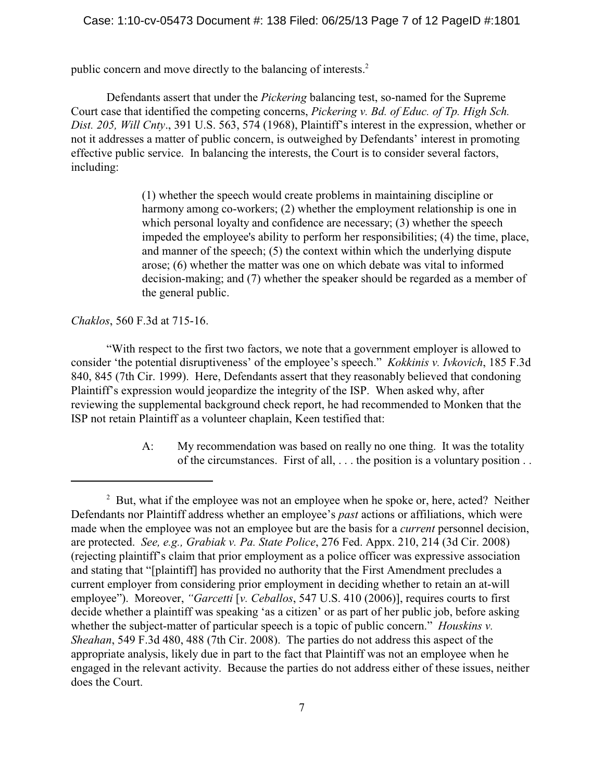#### Case: 1:10-cv-05473 Document #: 138 Filed: 06/25/13 Page 7 of 12 PageID #:1801

public concern and move directly to the balancing of interests.<sup>2</sup>

Defendants assert that under the *Pickering* balancing test, so-named for the Supreme Court case that identified the competing concerns, *Pickering v. Bd. of Educ. of Tp. High Sch. Dist. 205, Will Cnty*., 391 U.S. 563, 574 (1968), Plaintiff's interest in the expression, whether or not it addresses a matter of public concern, is outweighed by Defendants' interest in promoting effective public service. In balancing the interests, the Court is to consider several factors, including:

> (1) whether the speech would create problems in maintaining discipline or harmony among co-workers; (2) whether the employment relationship is one in which personal loyalty and confidence are necessary; (3) whether the speech impeded the employee's ability to perform her responsibilities; (4) the time, place, and manner of the speech; (5) the context within which the underlying dispute arose; (6) whether the matter was one on which debate was vital to informed decision-making; and (7) whether the speaker should be regarded as a member of the general public.

#### *Chaklos*, 560 F.3d at 715-16.

"With respect to the first two factors, we note that a government employer is allowed to consider 'the potential disruptiveness' of the employee's speech." *Kokkinis v. Ivkovich*, 185 F.3d 840, 845 (7th Cir. 1999). Here, Defendants assert that they reasonably believed that condoning Plaintiff's expression would jeopardize the integrity of the ISP. When asked why, after reviewing the supplemental background check report, he had recommended to Monken that the ISP not retain Plaintiff as a volunteer chaplain, Keen testified that:

> A: My recommendation was based on really no one thing. It was the totality of the circumstances. First of all, . . . the position is a voluntary position . .

 $\mu$ <sup>2</sup> But, what if the employee was not an employee when he spoke or, here, acted? Neither Defendants nor Plaintiff address whether an employee's *past* actions or affiliations, which were made when the employee was not an employee but are the basis for a *current* personnel decision, are protected. *See, e.g., Grabiak v. Pa. State Police*, 276 Fed. Appx. 210, 214 (3d Cir. 2008) (rejecting plaintiff's claim that prior employment as a police officer was expressive association and stating that "[plaintiff] has provided no authority that the First Amendment precludes a current employer from considering prior employment in deciding whether to retain an at-will employee"). Moreover, *"Garcetti* [*v. Ceballos*, 547 U.S. 410 (2006)], requires courts to first decide whether a plaintiff was speaking 'as a citizen' or as part of her public job, before asking whether the subject-matter of particular speech is a topic of public concern." *Houskins v. Sheahan*, 549 F.3d 480, 488 (7th Cir. 2008). The parties do not address this aspect of the appropriate analysis, likely due in part to the fact that Plaintiff was not an employee when he engaged in the relevant activity. Because the parties do not address either of these issues, neither does the Court.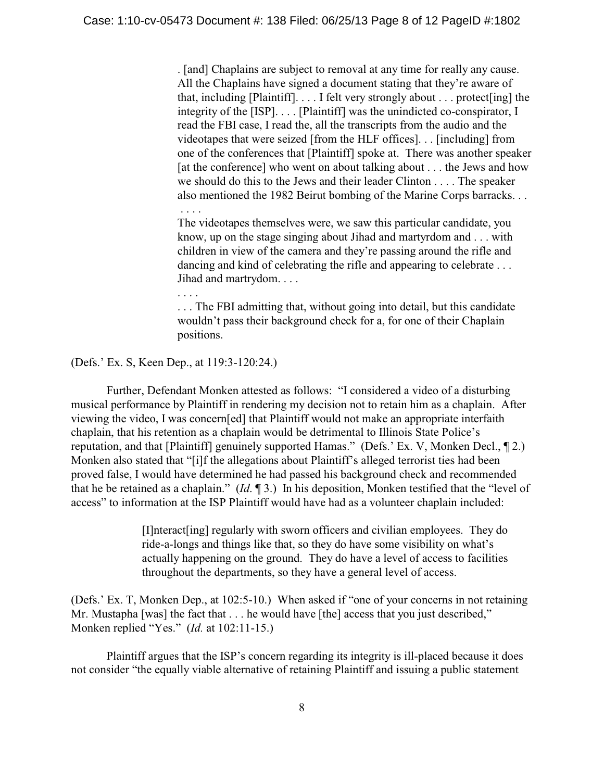. [and] Chaplains are subject to removal at any time for really any cause. All the Chaplains have signed a document stating that they're aware of that, including [Plaintiff]. . . . I felt very strongly about . . . protect[ing] the integrity of the [ISP]. . . . [Plaintiff] was the unindicted co-conspirator, I read the FBI case, I read the, all the transcripts from the audio and the videotapes that were seized [from the HLF offices]. . . [including] from one of the conferences that [Plaintiff] spoke at. There was another speaker [at the conference] who went on about talking about . . . the Jews and how we should do this to the Jews and their leader Clinton . . . . The speaker also mentioned the 1982 Beirut bombing of the Marine Corps barracks. . . . . . .

The videotapes themselves were, we saw this particular candidate, you know, up on the stage singing about Jihad and martyrdom and . . . with children in view of the camera and they're passing around the rifle and dancing and kind of celebrating the rifle and appearing to celebrate ... Jihad and martrydom. . . .

. . . .

. . . The FBI admitting that, without going into detail, but this candidate wouldn't pass their background check for a, for one of their Chaplain positions.

(Defs.' Ex. S, Keen Dep., at 119:3-120:24.)

Further, Defendant Monken attested as follows: "I considered a video of a disturbing musical performance by Plaintiff in rendering my decision not to retain him as a chaplain. After viewing the video, I was concern[ed] that Plaintiff would not make an appropriate interfaith chaplain, that his retention as a chaplain would be detrimental to Illinois State Police's reputation, and that [Plaintiff] genuinely supported Hamas." (Defs.' Ex. V, Monken Decl., ¶ 2.) Monken also stated that "[i]f the allegations about Plaintiff's alleged terrorist ties had been proved false, I would have determined he had passed his background check and recommended that he be retained as a chaplain." (*Id*. ¶ 3.) In his deposition, Monken testified that the "level of access" to information at the ISP Plaintiff would have had as a volunteer chaplain included:

> [I]nteract[ing] regularly with sworn officers and civilian employees. They do ride-a-longs and things like that, so they do have some visibility on what's actually happening on the ground. They do have a level of access to facilities throughout the departments, so they have a general level of access.

(Defs.' Ex. T, Monken Dep., at 102:5-10.) When asked if "one of your concerns in not retaining Mr. Mustapha [was] the fact that . . . he would have [the] access that you just described," Monken replied "Yes." (*Id.* at 102:11-15.)

Plaintiff argues that the ISP's concern regarding its integrity is ill-placed because it does not consider "the equally viable alternative of retaining Plaintiff and issuing a public statement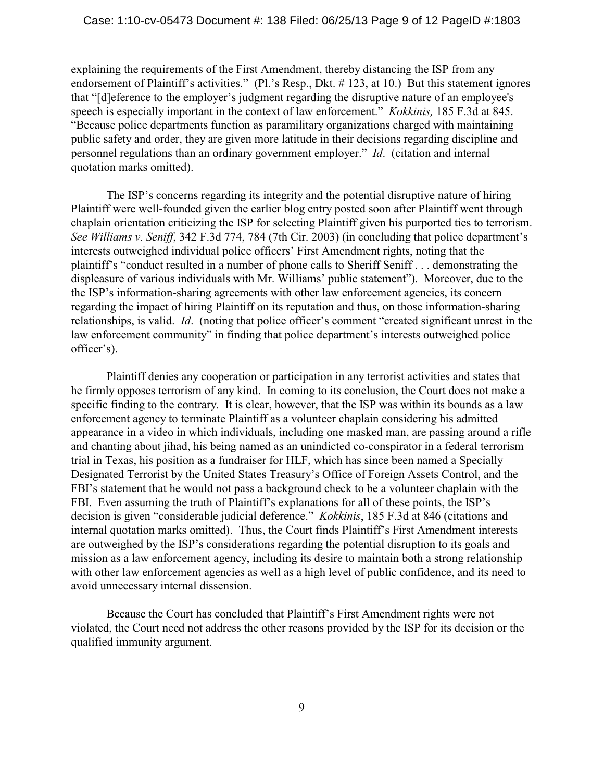explaining the requirements of the First Amendment, thereby distancing the ISP from any endorsement of Plaintiff's activities." (Pl.'s Resp., Dkt. # 123, at 10.) But this statement ignores that "[d]eference to the employer's judgment regarding the disruptive nature of an employee's speech is especially important in the context of law enforcement." *Kokkinis,* 185 F.3d at 845. "Because police departments function as paramilitary organizations charged with maintaining public safety and order, they are given more latitude in their decisions regarding discipline and personnel regulations than an ordinary government employer." *Id*. (citation and internal quotation marks omitted).

The ISP's concerns regarding its integrity and the potential disruptive nature of hiring Plaintiff were well-founded given the earlier blog entry posted soon after Plaintiff went through chaplain orientation criticizing the ISP for selecting Plaintiff given his purported ties to terrorism. *See Williams v. Seniff*, 342 F.3d 774, 784 (7th Cir. 2003) (in concluding that police department's interests outweighed individual police officers' First Amendment rights, noting that the plaintiff's "conduct resulted in a number of phone calls to Sheriff Seniff . . . demonstrating the displeasure of various individuals with Mr. Williams' public statement"). Moreover, due to the the ISP's information-sharing agreements with other law enforcement agencies, its concern regarding the impact of hiring Plaintiff on its reputation and thus, on those information-sharing relationships, is valid. *Id*. (noting that police officer's comment "created significant unrest in the law enforcement community" in finding that police department's interests outweighed police officer's).

Plaintiff denies any cooperation or participation in any terrorist activities and states that he firmly opposes terrorism of any kind. In coming to its conclusion, the Court does not make a specific finding to the contrary. It is clear, however, that the ISP was within its bounds as a law enforcement agency to terminate Plaintiff as a volunteer chaplain considering his admitted appearance in a video in which individuals, including one masked man, are passing around a rifle and chanting about jihad, his being named as an unindicted co-conspirator in a federal terrorism trial in Texas, his position as a fundraiser for HLF, which has since been named a Specially Designated Terrorist by the United States Treasury's Office of Foreign Assets Control, and the FBI's statement that he would not pass a background check to be a volunteer chaplain with the FBI. Even assuming the truth of Plaintiff's explanations for all of these points, the ISP's decision is given "considerable judicial deference." *Kokkinis*, 185 F.3d at 846 (citations and internal quotation marks omitted). Thus, the Court finds Plaintiff's First Amendment interests are outweighed by the ISP's considerations regarding the potential disruption to its goals and mission as a law enforcement agency, including its desire to maintain both a strong relationship with other law enforcement agencies as well as a high level of public confidence, and its need to avoid unnecessary internal dissension.

Because the Court has concluded that Plaintiff's First Amendment rights were not violated, the Court need not address the other reasons provided by the ISP for its decision or the qualified immunity argument.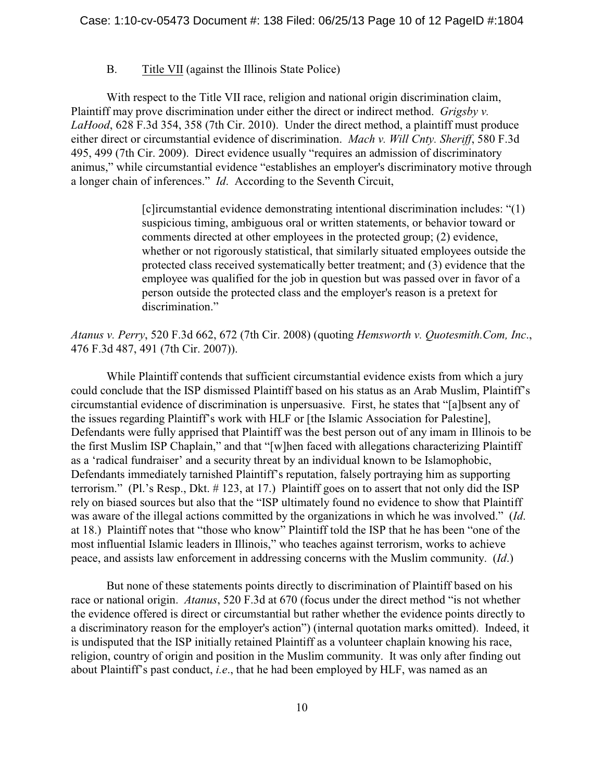# B. Title VII (against the Illinois State Police)

With respect to the Title VII race, religion and national origin discrimination claim, Plaintiff may prove discrimination under either the direct or indirect method. *Grigsby v. LaHood*, 628 F.3d 354, 358 (7th Cir. 2010). Under the direct method, a plaintiff must produce either direct or circumstantial evidence of discrimination. *Mach v. Will Cnty. Sheriff*, 580 F.3d 495, 499 (7th Cir. 2009). Direct evidence usually "requires an admission of discriminatory animus," while circumstantial evidence "establishes an employer's discriminatory motive through a longer chain of inferences." *Id*. According to the Seventh Circuit,

> [c]ircumstantial evidence demonstrating intentional discrimination includes: "(1) suspicious timing, ambiguous oral or written statements, or behavior toward or comments directed at other employees in the protected group; (2) evidence, whether or not rigorously statistical, that similarly situated employees outside the protected class received systematically better treatment; and (3) evidence that the employee was qualified for the job in question but was passed over in favor of a person outside the protected class and the employer's reason is a pretext for discrimination."

*Atanus v. Perry*, 520 F.3d 662, 672 (7th Cir. 2008) (quoting *Hemsworth v. Quotesmith.Com, Inc*., 476 F.3d 487, 491 (7th Cir. 2007)).

While Plaintiff contends that sufficient circumstantial evidence exists from which a jury could conclude that the ISP dismissed Plaintiff based on his status as an Arab Muslim, Plaintiff's circumstantial evidence of discrimination is unpersuasive. First, he states that "[a]bsent any of the issues regarding Plaintiff's work with HLF or [the Islamic Association for Palestine], Defendants were fully apprised that Plaintiff was the best person out of any imam in Illinois to be the first Muslim ISP Chaplain," and that "[w]hen faced with allegations characterizing Plaintiff as a 'radical fundraiser' and a security threat by an individual known to be Islamophobic, Defendants immediately tarnished Plaintiff's reputation, falsely portraying him as supporting terrorism." (Pl.'s Resp., Dkt. # 123, at 17.) Plaintiff goes on to assert that not only did the ISP rely on biased sources but also that the "ISP ultimately found no evidence to show that Plaintiff was aware of the illegal actions committed by the organizations in which he was involved." (*Id*. at 18.) Plaintiff notes that "those who know" Plaintiff told the ISP that he has been "one of the most influential Islamic leaders in Illinois," who teaches against terrorism, works to achieve peace, and assists law enforcement in addressing concerns with the Muslim community. (*Id*.)

But none of these statements points directly to discrimination of Plaintiff based on his race or national origin. *Atanus*, 520 F.3d at 670 (focus under the direct method "is not whether the evidence offered is direct or circumstantial but rather whether the evidence points directly to a discriminatory reason for the employer's action") (internal quotation marks omitted). Indeed, it is undisputed that the ISP initially retained Plaintiff as a volunteer chaplain knowing his race, religion, country of origin and position in the Muslim community. It was only after finding out about Plaintiff's past conduct, *i.e*., that he had been employed by HLF, was named as an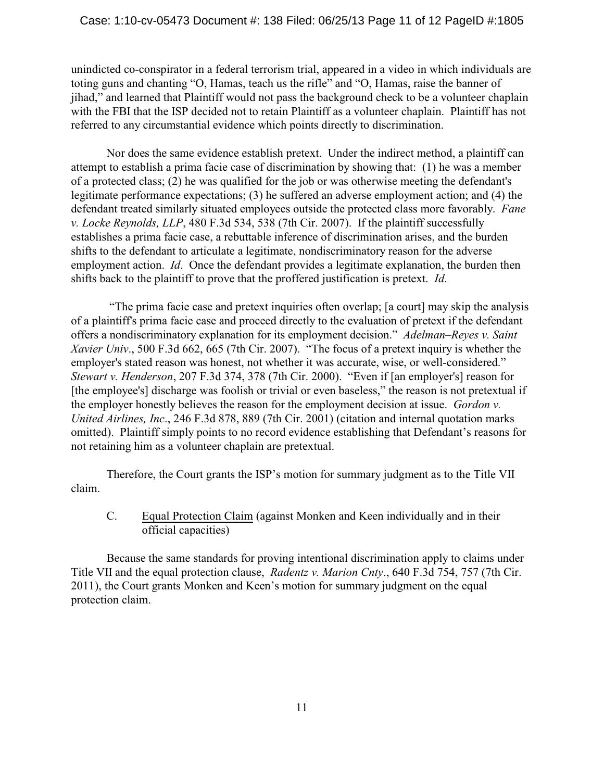### Case: 1:10-cv-05473 Document #: 138 Filed: 06/25/13 Page 11 of 12 PageID #:1805

unindicted co-conspirator in a federal terrorism trial, appeared in a video in which individuals are toting guns and chanting "O, Hamas, teach us the rifle" and "O, Hamas, raise the banner of jihad," and learned that Plaintiff would not pass the background check to be a volunteer chaplain with the FBI that the ISP decided not to retain Plaintiff as a volunteer chaplain. Plaintiff has not referred to any circumstantial evidence which points directly to discrimination.

Nor does the same evidence establish pretext. Under the indirect method, a plaintiff can attempt to establish a prima facie case of discrimination by showing that: (1) he was a member of a protected class; (2) he was qualified for the job or was otherwise meeting the defendant's legitimate performance expectations; (3) he suffered an adverse employment action; and (4) the defendant treated similarly situated employees outside the protected class more favorably. *Fane v. Locke Reynolds, LLP*, 480 F.3d 534, 538 (7th Cir. 2007). If the plaintiff successfully establishes a prima facie case, a rebuttable inference of discrimination arises, and the burden shifts to the defendant to articulate a legitimate, nondiscriminatory reason for the adverse employment action. *Id*. Once the defendant provides a legitimate explanation, the burden then shifts back to the plaintiff to prove that the proffered justification is pretext. *Id*.

 "The prima facie case and pretext inquiries often overlap; [a court] may skip the analysis of a plaintiff's prima facie case and proceed directly to the evaluation of pretext if the defendant offers a nondiscriminatory explanation for its employment decision." *Adelman–Reyes v. Saint Xavier Univ*., 500 F.3d 662, 665 (7th Cir. 2007). "The focus of a pretext inquiry is whether the employer's stated reason was honest, not whether it was accurate, wise, or well-considered." *Stewart v. Henderson*, 207 F.3d 374, 378 (7th Cir. 2000). "Even if [an employer's] reason for [the employee's] discharge was foolish or trivial or even baseless," the reason is not pretextual if the employer honestly believes the reason for the employment decision at issue. *Gordon v. United Airlines, Inc*., 246 F.3d 878, 889 (7th Cir. 2001) (citation and internal quotation marks omitted). Plaintiff simply points to no record evidence establishing that Defendant's reasons for not retaining him as a volunteer chaplain are pretextual.

Therefore, the Court grants the ISP's motion for summary judgment as to the Title VII claim.

C. Equal Protection Claim (against Monken and Keen individually and in their official capacities)

Because the same standards for proving intentional discrimination apply to claims under Title VII and the equal protection clause, *Radentz v. Marion Cnty*., 640 F.3d 754, 757 (7th Cir. 2011), the Court grants Monken and Keen's motion for summary judgment on the equal protection claim.